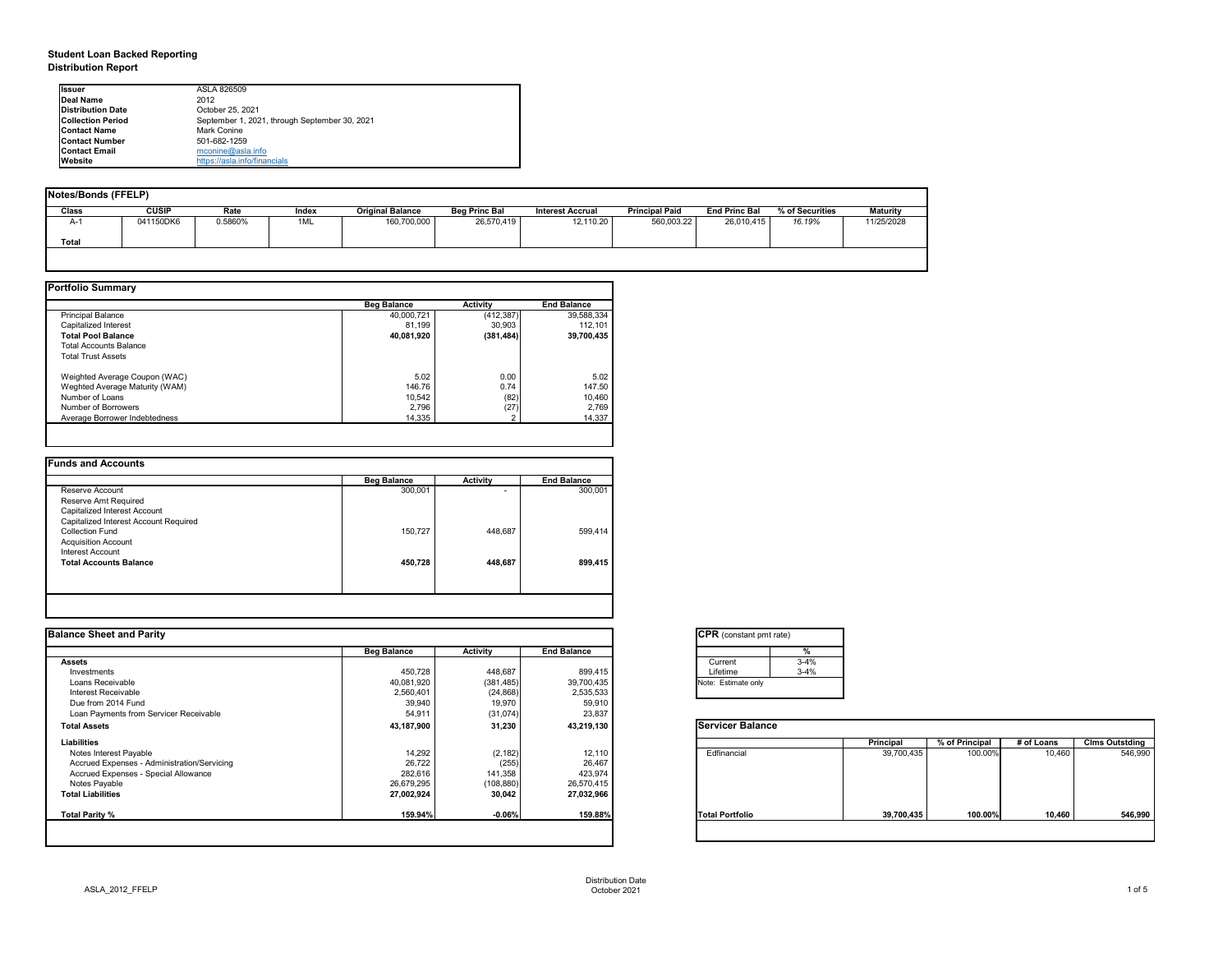# **Student Loan Backed Reporting Distribution Report**

| Notes/Bonds (FFELP) |              |         |       |                         |                      |                         |                       |                      |                 |                 |
|---------------------|--------------|---------|-------|-------------------------|----------------------|-------------------------|-----------------------|----------------------|-----------------|-----------------|
| Class               | <b>CUSIP</b> | Rate    | Index | <b>Original Balance</b> | <b>Beg Princ Bal</b> | <b>Interest Accrual</b> | <b>Principal Paid</b> | <b>End Princ Bal</b> | % of Securities | <b>Maturity</b> |
| A-1                 | 041150DK6    | 0.5860% | 1ML   | 160,700,000             | 26,570,419           | 12,110.20               | 560,003.22            | 26,010,415           | 16.19%          | 11/25/2028      |
| <b>Total</b>        |              |         |       |                         |                      |                         |                       |                      |                 |                 |
|                     |              |         |       |                         |                      |                         |                       |                      |                 |                 |

|                                | <b>Beg Balance</b> | <b>Activity</b> | <b>End Balance</b> |
|--------------------------------|--------------------|-----------------|--------------------|
| <b>Principal Balance</b>       | 40,000,721         | (412, 387)      | 39,588,334         |
| Capitalized Interest           | 81,199             | 30,903          | 112,101            |
| <b>Total Pool Balance</b>      | 40,081,920         | (381, 484)      | 39,700,435         |
| <b>Total Accounts Balance</b>  |                    |                 |                    |
| <b>Total Trust Assets</b>      |                    |                 |                    |
| Weighted Average Coupon (WAC)  | 5.02               | 0.00            | 5.02               |
| Weghted Average Maturity (WAM) | 146.76             | 0.74            | 147.50             |
| Number of Loans                | 10,542             | (82)            | 10,460             |
| Number of Borrowers            | 2,796              | (27)            | 2,769              |
| Average Borrower Indebtedness  | 14,335             |                 | 14,337             |

|                                       | <b>Beg Balance</b> | <b>Activity</b> | <b>End Balance</b> |
|---------------------------------------|--------------------|-----------------|--------------------|
| Reserve Account                       | 300,001            | ۰               | 300,001            |
| Reserve Amt Required                  |                    |                 |                    |
| Capitalized Interest Account          |                    |                 |                    |
| Capitalized Interest Account Required |                    |                 |                    |
| <b>Collection Fund</b>                | 150,727            | 448,687         | 599,414            |
| <b>Acquisition Account</b>            |                    |                 |                    |
| Interest Account                      |                    |                 |                    |
| <b>Total Accounts Balance</b>         | 450,728            | 448,687         | 899,415            |
|                                       |                    |                 |                    |
|                                       |                    |                 |                    |

| tant pmt rate) |          |
|----------------|----------|
|                | %        |
|                | $3 - 4%$ |
|                | $3 - 4%$ |
| te only        |          |
|                |          |

|      | <b>Principal</b> | % of Principal | # of Loans | <b>Clms Outstding</b> |
|------|------------------|----------------|------------|-----------------------|
| al   | 39,700,435       | 100.00%        | 10,460     | 546,990               |
| olio | 39,700,435       | 100.00%        | 10,460     | 546,990               |

| <b>Ilssuer</b>           | ASLA 826509                                   |
|--------------------------|-----------------------------------------------|
| Deal Name                | 2012                                          |
| <b>Distribution Date</b> | October 25, 2021                              |
| <b>Collection Period</b> | September 1, 2021, through September 30, 2021 |
| <b>Contact Name</b>      | Mark Conine                                   |
| <b>IContact Number</b>   | 501-682-1259                                  |
| <b>Contact Email</b>     | mconine@asla.info                             |
| <b>IWebsite</b>          | https://asla.info/financials                  |

|                    |                 |                             | <b>CPR</b> (constant pmt rate) |                  |                |            |                       |
|--------------------|-----------------|-----------------------------|--------------------------------|------------------|----------------|------------|-----------------------|
| <b>Beg Balance</b> | <b>Activity</b> | <b>End Balance</b>          |                                |                  |                |            |                       |
|                    |                 |                             | $3 - 4%$<br>Current            |                  |                |            |                       |
| 450,728            | 448,687         | 899,415                     | Lifetime<br>$3 - 4%$           |                  |                |            |                       |
| 40,081,920         | (381, 485)      | 39,700,435                  | Note: Estimate only            |                  |                |            |                       |
| 2,560,401          | (24, 868)       | 2,535,533                   |                                |                  |                |            |                       |
| 39,940             |                 |                             |                                |                  |                |            |                       |
| 54,911             | (31, 074)       | 23,837                      |                                |                  |                |            |                       |
| 43,187,900         | 31,230          | 43,219,130                  | <b>Servicer Balance</b>        |                  |                |            |                       |
|                    |                 |                             |                                | <b>Principal</b> | % of Principal | # of Loans | <b>Clms Outstding</b> |
| 14,292             |                 | 12,110                      | Edfinancial                    | 39,700,435       | 100.00%        | 10,460     | 546,990               |
| 26,722             |                 | 26,467                      |                                |                  |                |            |                       |
| 282,616            | 141,358         | 423,974                     |                                |                  |                |            |                       |
| 26,679,295         | (108, 880)      | 26,570,415                  |                                |                  |                |            |                       |
| 27,002,924         | 30,042          | 27,032,966                  |                                |                  |                |            |                       |
| 159.94%            | $-0.06%$        | 159.88%                     | <b>Total Portfolio</b>         | 39,700,435       | 100.00%        | 10,460     | 546,990               |
|                    |                 | 19,970<br>(2, 182)<br>(255) | 59,910                         |                  |                |            |                       |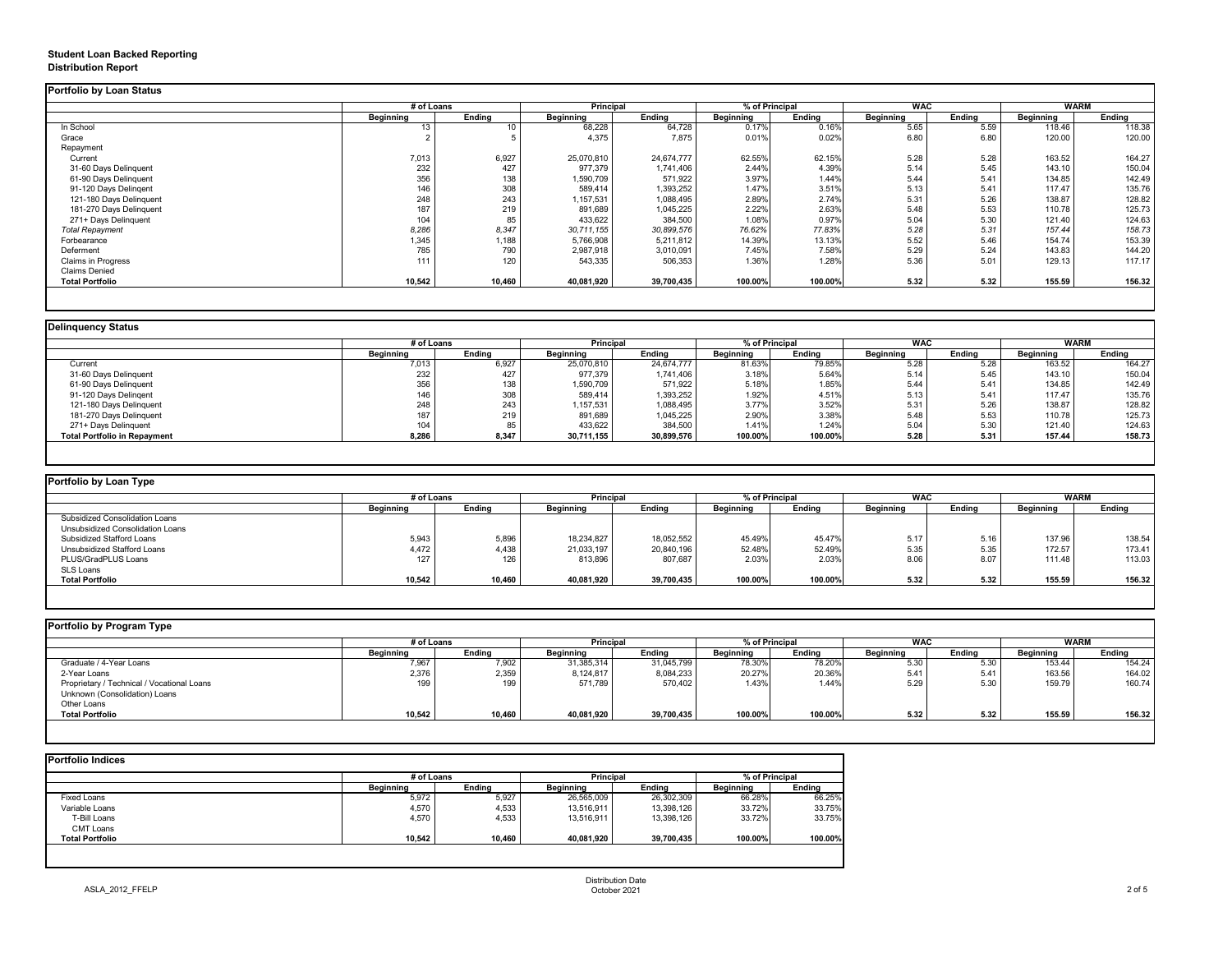# **Student Loan Backed Reporting Distribution Report**

### **Delinquency Status**

|                           | # of Loans       |               | <b>Principal</b> |               | % of Principal   |               | <b>WAC</b>       |               | <b>WARM</b>      |               |
|---------------------------|------------------|---------------|------------------|---------------|------------------|---------------|------------------|---------------|------------------|---------------|
|                           | <b>Beginning</b> | <b>Ending</b> | <b>Beginning</b> | <b>Ending</b> | <b>Beginning</b> | <b>Ending</b> | <b>Beginning</b> | <b>Ending</b> | <b>Beginning</b> | <b>Ending</b> |
| In School                 | 13               | 10.           | 68,228           | 64,728        | 0.17%            | 0.16%         | 5.65             | 5.59          | 118.46           | 118.38        |
| Grace                     |                  |               | 4,375            | 7,875         | 0.01%            | 0.02%         | 6.80             | 6.80          | 120.00           | 120.00        |
| Repayment                 |                  |               |                  |               |                  |               |                  |               |                  |               |
| Current                   | 7,013            | 6,927         | 25,070,810       | 24,674,777    | 62.55%           | 62.15%        | 5.28             | 5.28          | 163.52           | 164.27        |
| 31-60 Days Delinquent     | 232              | 427           | 977,379          | 1,741,406     | 2.44%            | 4.39%         | 5.14             | 5.45          | 143.10           | 150.04        |
| 61-90 Days Delinquent     | 356              | 138           | 1,590,709        | 571,922       | 3.97%            | 1.44%         | 5.44             | 5.41          | 134.85           | 142.49        |
| 91-120 Days Delingent     | 146              | 308           | 589,414          | 1,393,252     | 1.47%            | 3.51%         | 5.13             | 5.41          | 117.47           | 135.76        |
| 121-180 Days Delinquent   | 248              | 243           | 1,157,531        | 1,088,495     | 2.89%            | 2.74%         | 5.31             | 5.26          | 138.87           | 128.82        |
| 181-270 Days Delinquent   | 187              | 219           | 891,689          | 1,045,225     | 2.22%            | 2.63%         | 5.48             | 5.53          | 110.78           | 125.73        |
| 271+ Days Delinquent      | 104              | 85            | 433,622          | 384,500       | 1.08%            | 0.97%         | 5.04             | 5.30          | 121.40           | 124.63        |
| <b>Total Repayment</b>    | 8,286            | 8,347         | 30,711,155       | 30,899,576    | 76.62%           | 77.83%        | 5.28             | 5.31          | 157.44           | 158.73        |
| Forbearance               | 1,345            | 1,188         | 5,766,908        | 5,211,812     | 14.39%           | 13.13%        | 5.52             | 5.46          | 154.74           | 153.39        |
| Deferment                 | 785              | 790           | 2,987,918        | 3,010,091     | 7.45%            | 7.58%         | 5.29             | 5.24          | 143.83           | 144.20        |
| <b>Claims in Progress</b> | 111              | 120           | 543,335          | 506,353       | 1.36%            | 1.28%         | 5.36             | 5.01          | 129.13           | 117.17        |
| <b>Claims Denied</b>      |                  |               |                  |               |                  |               |                  |               |                  |               |
| <b>Total Portfolio</b>    | 10,542           | 10,460        | 40,081,920       | 39,700,435    | 100.00%          | 100.00%       | 5.32             | 5.32          | 155.59           | 156.32        |

|                                     | # of Loans       |               | <b>Principal</b> |               | % of Principal   |               | <b>WAC</b>       |               |                  | <b>WARM</b>   |  |
|-------------------------------------|------------------|---------------|------------------|---------------|------------------|---------------|------------------|---------------|------------------|---------------|--|
|                                     | <b>Beginning</b> | <b>Ending</b> | <b>Beginning</b> | <b>Ending</b> | <b>Beginning</b> | <b>Ending</b> | <b>Beginning</b> | <b>Ending</b> | <b>Beginning</b> | <b>Ending</b> |  |
| Current                             | 7,013            | 6,927         | 25,070,810       | 24,674,777    | 81.63%           | 79.85%        | 5.28             | 5.28          | 163.52           | 164.27        |  |
| 31-60 Days Delinquent               | 232              | 427           | 977,379          | 1,741,406     | 3.18%            | 5.64%         | 5.14             | 5.45          | 143.10           | 150.04        |  |
| 61-90 Days Delinquent               | 356              | 138           | 1,590,709        | 571,922       | 5.18%            | 1.85%         | 5.44             | 5.41          | 134.85           | 142.49        |  |
| 91-120 Days Delingent               | 146              | 308           | 589,414          | 1,393,252     | 1.92%            | 4.51%         | 5.13             | 5.41          | 117.47           | 135.76        |  |
| 121-180 Days Delinquent             | 248              | 243           | 1,157,531        | 1,088,495     | 3.77%            | 3.52%         | 5.31             | 5.26          | 138.87           | 128.82        |  |
| 181-270 Days Delinquent             | 187              | 219           | 891,689          | 1,045,225     | 2.90%            | 3.38%         | 5.48             | 5.53          | 110.78           | 125.73        |  |
| 271+ Days Delinquent                | 104              | 85            | 433,622          | 384,500       | 1.41%            | 1.24%         | 5.04             | 5.30          | 121.40           | 124.63        |  |
| <b>Total Portfolio in Repayment</b> | 8,286            | 8,347         | 30,711,155       | 30,899,576    | 100.00%          | 100.00%       | 5.28             | 5.31          | 157.44           | 158.73        |  |

|  |  | <b>Portfolio by Program Type</b> |  |
|--|--|----------------------------------|--|
|--|--|----------------------------------|--|

| ortfolio by Loan Type                 |                  |               |                  |               |                  |               |                  |               |                  |               |
|---------------------------------------|------------------|---------------|------------------|---------------|------------------|---------------|------------------|---------------|------------------|---------------|
|                                       | # of Loans       |               | <b>Principal</b> |               | % of Principal   |               | <b>WAC</b>       |               | <b>WARM</b>      |               |
|                                       | <b>Beginning</b> | <b>Ending</b> | <b>Beginning</b> | <b>Ending</b> | <b>Beginning</b> | <b>Ending</b> | <b>Beginning</b> | <b>Ending</b> | <b>Beginning</b> | <b>Ending</b> |
| <b>Subsidized Consolidation Loans</b> |                  |               |                  |               |                  |               |                  |               |                  |               |
| Unsubsidized Consolidation Loans      |                  |               |                  |               |                  |               |                  |               |                  |               |
| <b>Subsidized Stafford Loans</b>      | 5,943            | 5,896         | 18,234,827       | 18,052,552    | 45.49%           | 45.47%        | 5.17             | 5.16          | 137.96           | 138.54        |
| <b>Unsubsidized Stafford Loans</b>    | 4,472            | 4,438         | 21,033,197       | 20,840,196    | 52.48%           | 52.49%        | 5.35             | 5.35          | 172.57           | 173.41        |
| PLUS/GradPLUS Loans                   | 127              | 126           | 813,896          | 807,687       | 2.03%            | 2.03%         | 8.06             | 8.07          | 111.48           | 113.03        |
| SLS Loans                             |                  |               |                  |               |                  |               |                  |               |                  |               |
| <b>Total Portfolio</b>                | 10,542           | 10,460        | 40,081,920       | 39,700,435    | 100.00%          | 100.00%       | 5.32             | 5.32          | 155.59           | 156.32        |

| <b>Portfolio by Program Type</b>           |                  |               |                  |            |                  |               |                  |               |                  |               |
|--------------------------------------------|------------------|---------------|------------------|------------|------------------|---------------|------------------|---------------|------------------|---------------|
|                                            | # of Loans       |               | <b>Principal</b> |            | % of Principal   |               | <b>WAC</b>       |               | <b>WARM</b>      |               |
|                                            | <b>Beginning</b> | <b>Ending</b> | <b>Beginning</b> | Ending     | <b>Beginning</b> | <b>Ending</b> | <b>Beginning</b> | <b>Ending</b> | <b>Beginning</b> | <b>Ending</b> |
| Graduate / 4-Year Loans                    | 7,967            | 7,902         | 31,385,314       | 31,045,799 | 78.30%           | 78.20%        | 5.30             | 5.30          | 153.44           | 154.24        |
| 2-Year Loans                               | 2,376            | 2,359         | 8,124,817        | 8,084,233  | 20.27%           | 20.36%        | 5.41             | 5.41          | 163.56           | 164.02        |
| Proprietary / Technical / Vocational Loans | 199              | 199           | 571,789          | 570,402    | 1.43%            | 1.44%         | 5.29             | 5.30          | 159.79           | 160.74        |
| Unknown (Consolidation) Loans              |                  |               |                  |            |                  |               |                  |               |                  |               |
| Other Loans                                |                  |               |                  |            |                  |               |                  |               |                  |               |
| <b>Total Portfolio</b>                     | 10,542           | 10,460        | 40,081,920       | 39,700,435 | 100.00%          | 100.00%       | 5.32             | 5.32          | 155.59           | 156.32        |
|                                            |                  |               |                  |            |                  |               |                  |               |                  |               |

|                        |                  | # of Loans    |                  | <b>Principal</b> |                  | % of Principal |  |
|------------------------|------------------|---------------|------------------|------------------|------------------|----------------|--|
|                        | <b>Beginning</b> | <b>Ending</b> | <b>Beginning</b> | <b>Ending</b>    | <b>Beginning</b> | <b>Ending</b>  |  |
| <b>Fixed Loans</b>     | 5,972            | 5,927         | 26,565,009       | 26,302,309       | 66.28%           | 66.25%         |  |
| Variable Loans         | 4,570            | 4,533         | 13,516,911       | 13,398,126       | 33.72%           | 33.75%         |  |
| T-Bill Loans           | 4,570            | 4,533         | 13,516,911       | 13,398,126       | 33.72%           | 33.75%         |  |
| <b>CMT Loans</b>       |                  |               |                  |                  |                  |                |  |
| <b>Total Portfolio</b> | 10,542           | 10,460        | 40,081,920       | 39,700,435       | 100.00%          | 100.00%        |  |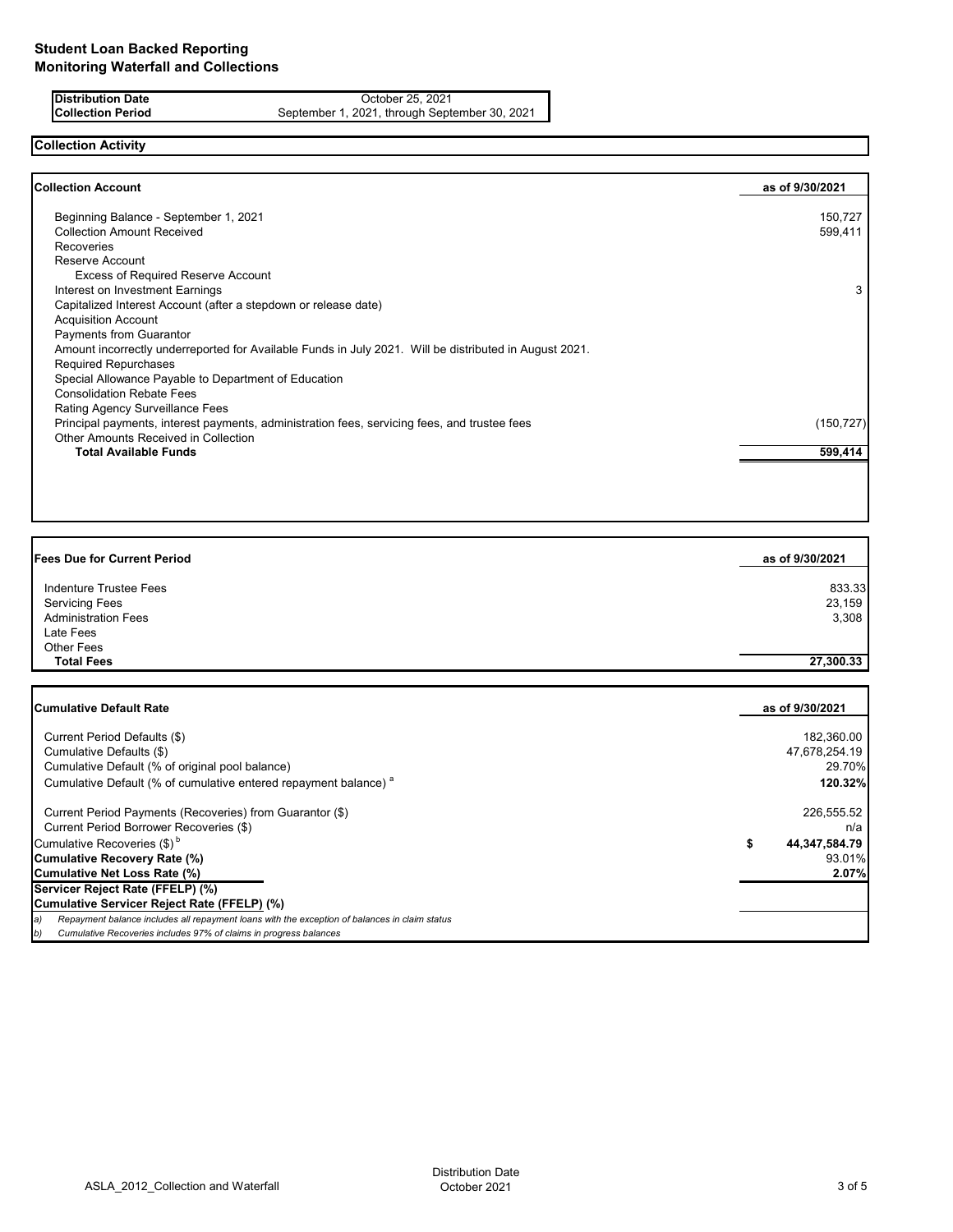**Distribution Date** October 25, 2021<br>**Collection Period** September 1, 2021, through Septe September 1, 2021, through September 30, 2021

# **Collection Activity**

|                                                                                                        | as of 9/30/2021 |
|--------------------------------------------------------------------------------------------------------|-----------------|
| Beginning Balance - September 1, 2021                                                                  | 150,727         |
| <b>Collection Amount Received</b>                                                                      | 599,411         |
| <b>Recoveries</b>                                                                                      |                 |
| Reserve Account                                                                                        |                 |
| <b>Excess of Required Reserve Account</b>                                                              |                 |
| Interest on Investment Earnings                                                                        | 3               |
| Capitalized Interest Account (after a stepdown or release date)                                        |                 |
| <b>Acquisition Account</b>                                                                             |                 |
| <b>Payments from Guarantor</b>                                                                         |                 |
| Amount incorrectly underreported for Available Funds in July 2021. Will be distributed in August 2021. |                 |
| <b>Required Repurchases</b>                                                                            |                 |
| Special Allowance Payable to Department of Education                                                   |                 |
| <b>Consolidation Rebate Fees</b>                                                                       |                 |
| Rating Agency Surveillance Fees                                                                        |                 |
| Principal payments, interest payments, administration fees, servicing fees, and trustee fees           | (150, 727)      |
| Other Amounts Received in Collection                                                                   |                 |
| <b>Total Available Funds</b>                                                                           | 599,414         |

| as of 9/30/2021 |
|-----------------|
| 833.33          |
| 23,159          |
| 3,308           |
|                 |
|                 |
| 27,300.33       |
|                 |

| <b>Cumulative Default Rate</b>                                                                   | as of 9/30/2021     |
|--------------------------------------------------------------------------------------------------|---------------------|
| Current Period Defaults (\$)                                                                     | 182,360.00          |
| Cumulative Defaults (\$)                                                                         | 47,678,254.19       |
| Cumulative Default (% of original pool balance)                                                  | 29.70%              |
|                                                                                                  |                     |
| Cumulative Default (% of cumulative entered repayment balance) <sup>a</sup>                      | 120.32%             |
| Current Period Payments (Recoveries) from Guarantor (\$)                                         | 226,555.52          |
| Current Period Borrower Recoveries (\$)                                                          | n/a                 |
| Cumulative Recoveries $(\$)^b$                                                                   | 44,347,584.79<br>\$ |
| <b>Cumulative Recovery Rate (%)</b>                                                              | 93.01%              |
| <b>Cumulative Net Loss Rate (%)</b>                                                              | 2.07%               |
| Servicer Reject Rate (FFELP) (%)                                                                 |                     |
| Cumulative Servicer Reject Rate (FFELP) (%)                                                      |                     |
| a) Repayment balance includes all repayment loans with the exception of balances in claim status |                     |
| Cumulative Recoveries includes 97% of claims in progress balances<br>b)                          |                     |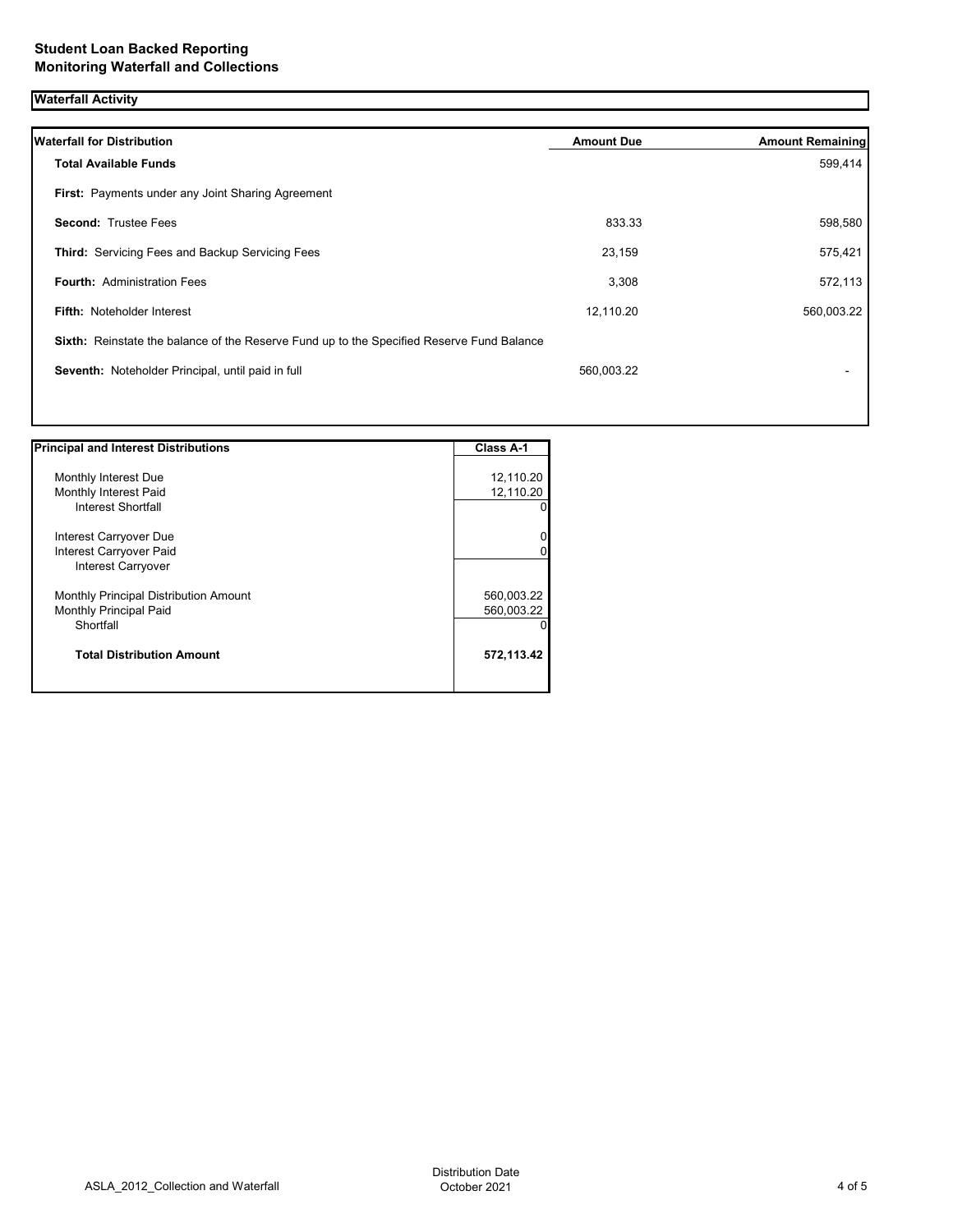# **Waterfall Activity**

| <b>Waterfall for Distribution</b>                                                         | <b>Amount Due</b> | <b>Amount Remaining</b> |
|-------------------------------------------------------------------------------------------|-------------------|-------------------------|
| <b>Total Available Funds</b>                                                              |                   | 599,414                 |
| First: Payments under any Joint Sharing Agreement                                         |                   |                         |
| <b>Second: Trustee Fees</b>                                                               | 833.33            | 598,580                 |
| <b>Third:</b> Servicing Fees and Backup Servicing Fees                                    | 23,159            | 575,421                 |
| <b>Fourth: Administration Fees</b>                                                        | 3,308             | 572,113                 |
| <b>Fifth: Noteholder Interest</b>                                                         | 12,110.20         | 560,003.22              |
| Sixth: Reinstate the balance of the Reserve Fund up to the Specified Reserve Fund Balance |                   |                         |
| Seventh: Noteholder Principal, until paid in full                                         | 560,003.22        |                         |
|                                                                                           |                   |                         |

| <b>Principal and Interest Distributions</b>  | <b>Class A-1</b> |
|----------------------------------------------|------------------|
|                                              |                  |
| Monthly Interest Due                         | 12,110.20        |
| Monthly Interest Paid                        | 12,110.20        |
| Interest Shortfall                           |                  |
| Interest Carryover Due                       |                  |
| Interest Carryover Paid                      |                  |
| <b>Interest Carryover</b>                    |                  |
| <b>Monthly Principal Distribution Amount</b> | 560,003.22       |
| <b>Monthly Principal Paid</b>                | 560,003.22       |
| Shortfall                                    |                  |
| <b>Total Distribution Amount</b>             | 572,113.42       |
|                                              |                  |